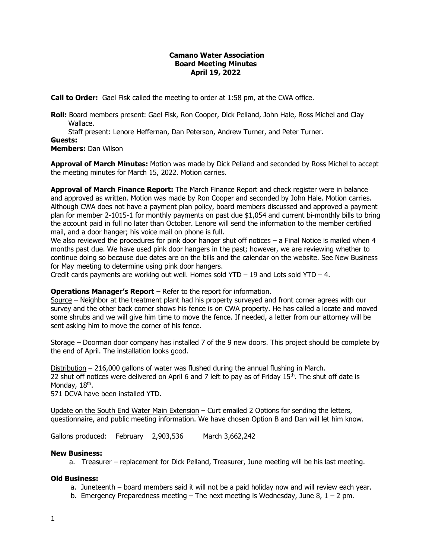## **Camano Water Association Board Meeting Minutes April 19, 2022**

**Call to Order:** Gael Fisk called the meeting to order at 1:58 pm, at the CWA office.

**Roll:** Board members present: Gael Fisk, Ron Cooper, Dick Pelland, John Hale, Ross Michel and Clay Wallace.

Staff present: Lenore Heffernan, Dan Peterson, Andrew Turner, and Peter Turner.

#### **Guests:**

**Members:** Dan Wilson

**Approval of March Minutes:** Motion was made by Dick Pelland and seconded by Ross Michel to accept the meeting minutes for March 15, 2022. Motion carries.

**Approval of March Finance Report:** The March Finance Report and check register were in balance and approved as written. Motion was made by Ron Cooper and seconded by John Hale. Motion carries. Although CWA does not have a payment plan policy, board members discussed and approved a payment plan for member 2-1015-1 for monthly payments on past due \$1,054 and current bi-monthly bills to bring the account paid in full no later than October. Lenore will send the information to the member certified mail, and a door hanger; his voice mail on phone is full.

We also reviewed the procedures for pink door hanger shut off notices - a Final Notice is mailed when 4 months past due. We have used pink door hangers in the past; however, we are reviewing whether to continue doing so because due dates are on the bills and the calendar on the website. See New Business for May meeting to determine using pink door hangers.

Credit cards payments are working out well. Homes sold YTD  $-19$  and Lots sold YTD  $-4$ .

# **Operations Manager's Report** – Refer to the report for information.

Source – Neighbor at the treatment plant had his property surveyed and front corner agrees with our survey and the other back corner shows his fence is on CWA property. He has called a locate and moved some shrubs and we will give him time to move the fence. If needed, a letter from our attorney will be sent asking him to move the corner of his fence.

Storage – Doorman door company has installed 7 of the 9 new doors. This project should be complete by the end of April. The installation looks good.

Distribution – 216,000 gallons of water was flushed during the annual flushing in March. 22 shut off notices were delivered on April 6 and 7 left to pay as of Friday  $15<sup>th</sup>$ . The shut off date is Monday, 18<sup>th</sup>.

571 DCVA have been installed YTD.

Update on the South End Water Main Extension – Curt emailed 2 Options for sending the letters, questionnaire, and public meeting information. We have chosen Option B and Dan will let him know.

Gallons produced: February 2,903,536 March 3,662,242

# **New Business:**

a. Treasurer – replacement for Dick Pelland, Treasurer, June meeting will be his last meeting.

#### **Old Business:**

- a. Juneteenth board members said it will not be a paid holiday now and will review each year.
- b. Emergency Preparedness meeting  $-$  The next meeting is Wednesday, June 8, 1  $-$  2 pm.